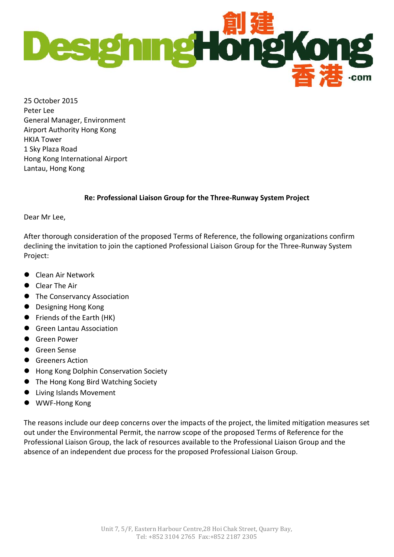

25 October 2015 Peter Lee General Manager, Environment Airport Authority Hong Kong HKIA Tower 1 Sky Plaza Road Hong Kong International Airport Lantau, Hong Kong

## **Re: Professional Liaison Group for the Three-Runway System Project**

Dear Mr Lee,

After thorough consideration of the proposed Terms of Reference, the following organizations confirm declining the invitation to join the captioned Professional Liaison Group for the Three-Runway System Project:

- Clean Air Network
- Clear The Air
- **•** The Conservancy Association
- **•** Designing Hong Kong
- Friends of the Earth (HK)
- **Green Lantau Association**
- **Green Power**
- **•** Green Sense
- **Greeners Action**
- Hong Kong Dolphin Conservation Society
- The Hong Kong Bird Watching Society
- Living Islands Movement
- WWF-Hong Kong

The reasons include our deep concerns over the impacts of the project, the limited mitigation measures set out under the Environmental Permit, the narrow scope of the proposed Terms of Reference for the Professional Liaison Group, the lack of resources available to the Professional Liaison Group and the absence of an independent due process for the proposed Professional Liaison Group.